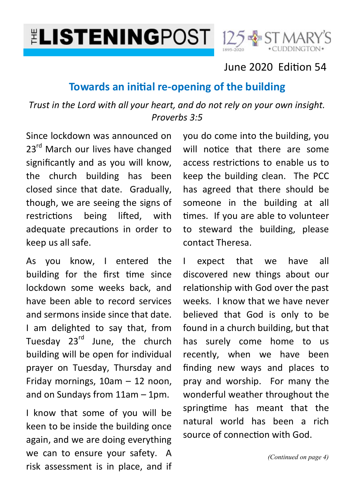# **ELISTENINGPOST**



### June 2020 Edition 54

### **Towards an initial re-opening of the building**

*Trust in the Lord with all your heart, and do not rely on your own insight. Proverbs 3:5*

Since lockdown was announced on 23<sup>rd</sup> March our lives have changed significantly and as you will know, the church building has been closed since that date. Gradually, though, we are seeing the signs of restrictions being lifted, with adequate precautions in order to keep us all safe.

As you know, I entered the building for the first time since lockdown some weeks back, and have been able to record services and sermons inside since that date. I am delighted to say that, from Tuesday 23<sup>rd</sup> June, the church building will be open for individual prayer on Tuesday, Thursday and Friday mornings, 10am – 12 noon, and on Sundays from 11am – 1pm.

I know that some of you will be keen to be inside the building once again, and we are doing everything we can to ensure your safety. A risk assessment is in place, and if

you do come into the building, you will notice that there are some access restrictions to enable us to keep the building clean. The PCC has agreed that there should be someone in the building at all times. If you are able to volunteer to steward the building, please contact Theresa.

I expect that we have all discovered new things about our relationship with God over the past weeks. I know that we have never believed that God is only to be found in a church building, but that has surely come home to us recently, when we have been finding new ways and places to pray and worship. For many the wonderful weather throughout the springtime has meant that the natural world has been a rich source of connection with God.

*(Continued on page 4)*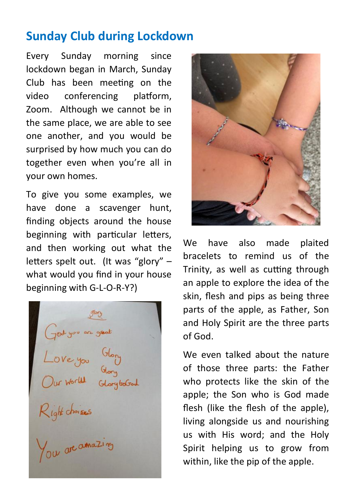## **Sunday Club during Lockdown**

Every Sunday morning since lockdown began in March, Sunday Club has been meeting on the video conferencing platform, Zoom. Although we cannot be in the same place, we are able to see one another, and you would be surprised by how much you can do together even when you're all in your own homes.

To give you some examples, we have done a scavenger hunt, finding objects around the house beginning with particular letters, and then working out what the letters spelt out. (It was "glory" – what would you find in your house beginning with G-L-O-R-Y?)

God you are great<br>Love you Glory<br>Our World Glory bodsal<br>Right choises<br>You are amazing



We have also made plaited bracelets to remind us of the Trinity, as well as cutting through an apple to explore the idea of the skin, flesh and pips as being three parts of the apple, as Father, Son and Holy Spirit are the three parts of God.

We even talked about the nature of those three parts: the Father who protects like the skin of the apple; the Son who is God made flesh (like the flesh of the apple), living alongside us and nourishing us with His word; and the Holy Spirit helping us to grow from within, like the pip of the apple.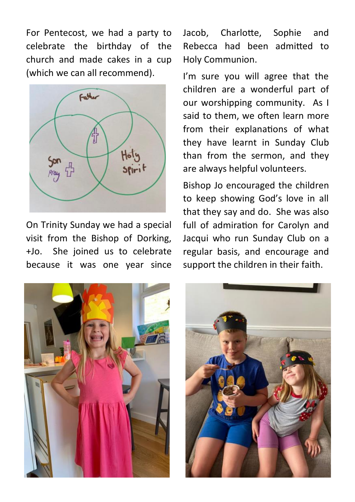For Pentecost, we had a party to celebrate the birthday of the church and made cakes in a cup (which we can all recommend).



On Trinity Sunday we had a special visit from the Bishop of Dorking, +Jo. She joined us to celebrate because it was one year since Jacob, Charlotte, Sophie and Rebecca had been admitted to Holy Communion.

I'm sure you will agree that the children are a wonderful part of our worshipping community. As I said to them, we often learn more from their explanations of what they have learnt in Sunday Club than from the sermon, and they are always helpful volunteers.

Bishop Jo encouraged the children to keep showing God's love in all that they say and do. She was also full of admiration for Carolyn and Jacqui who run Sunday Club on a regular basis, and encourage and support the children in their faith.